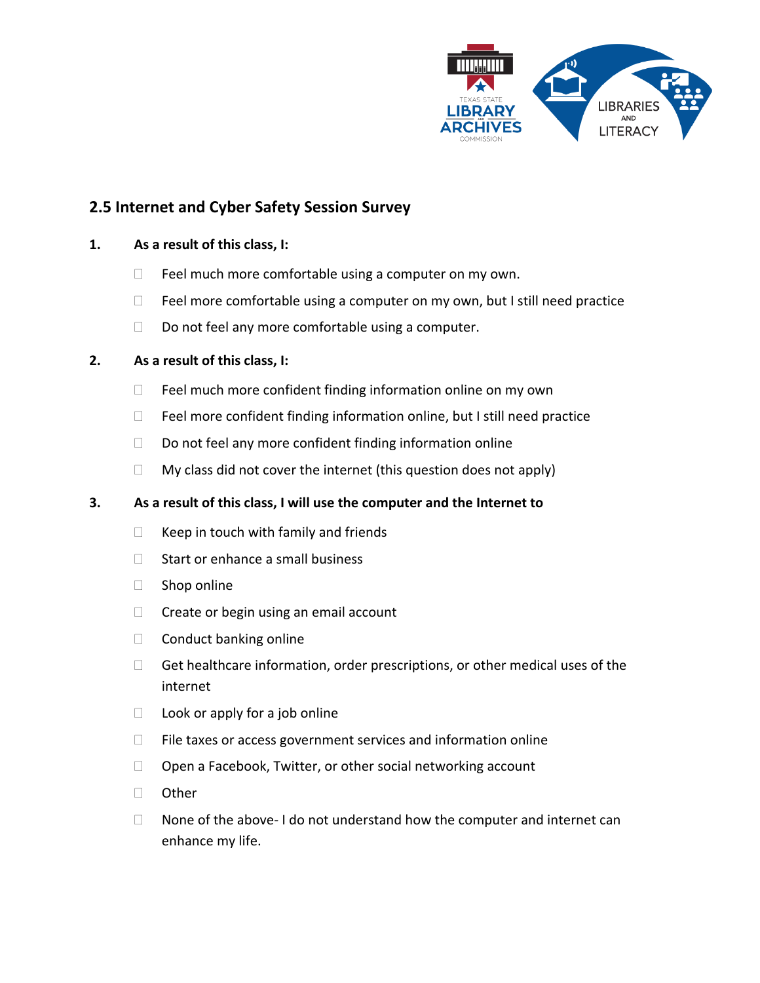

# **2.5 Internet and Cyber Safety Session Survey**

# **1. As a result of this class, I:**

- $\Box$  Feel much more comfortable using a computer on my own.
- $\Box$  Feel more comfortable using a computer on my own, but I still need practice
- $\Box$  Do not feel any more comfortable using a computer.

# **2. As a result of this class, I:**

- $\Box$  Feel much more confident finding information online on my own
- $\Box$  Feel more confident finding information online, but I still need practice
- $\Box$  Do not feel any more confident finding information online
- $\Box$  My class did not cover the internet (this question does not apply)

#### **3. As a result of this class, I will use the computer and the Internet to**

- $\Box$  Keep in touch with family and friends
- $\Box$  Start or enhance a small business
- $\Box$  Shop online
- $\Box$  Create or begin using an email account
- $\Box$  Conduct banking online
- $\Box$  Get healthcare information, order prescriptions, or other medical uses of the internet
- $\Box$  Look or apply for a job online
- $\Box$  File taxes or access government services and information online
- $\Box$  Open a Facebook, Twitter, or other social networking account
- □ Other
- $\Box$  None of the above- I do not understand how the computer and internet can enhance my life.